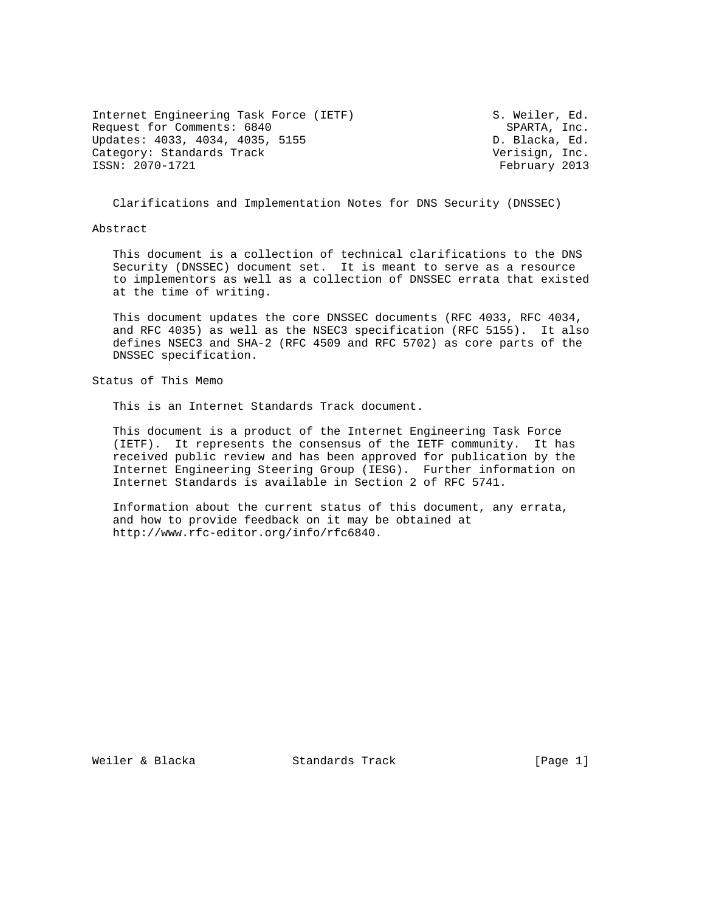| Internet Engineering Task Force (IETF) | S. Weiler, Ed. |  |
|----------------------------------------|----------------|--|
| Request for Comments: 6840             | SPARTA, Inc.   |  |
| Updates: 4033, 4034, 4035, 5155        | D. Blacka, Ed. |  |
| Category: Standards Track              | Verisign, Inc. |  |
| ISSN: 2070-1721                        | February 2013  |  |

Clarifications and Implementation Notes for DNS Security (DNSSEC)

Abstract

 This document is a collection of technical clarifications to the DNS Security (DNSSEC) document set. It is meant to serve as a resource to implementors as well as a collection of DNSSEC errata that existed at the time of writing.

 This document updates the core DNSSEC documents (RFC 4033, RFC 4034, and RFC 4035) as well as the NSEC3 specification (RFC 5155). It also defines NSEC3 and SHA-2 (RFC 4509 and RFC 5702) as core parts of the DNSSEC specification.

Status of This Memo

This is an Internet Standards Track document.

 This document is a product of the Internet Engineering Task Force (IETF). It represents the consensus of the IETF community. It has received public review and has been approved for publication by the Internet Engineering Steering Group (IESG). Further information on Internet Standards is available in Section 2 of RFC 5741.

 Information about the current status of this document, any errata, and how to provide feedback on it may be obtained at http://www.rfc-editor.org/info/rfc6840.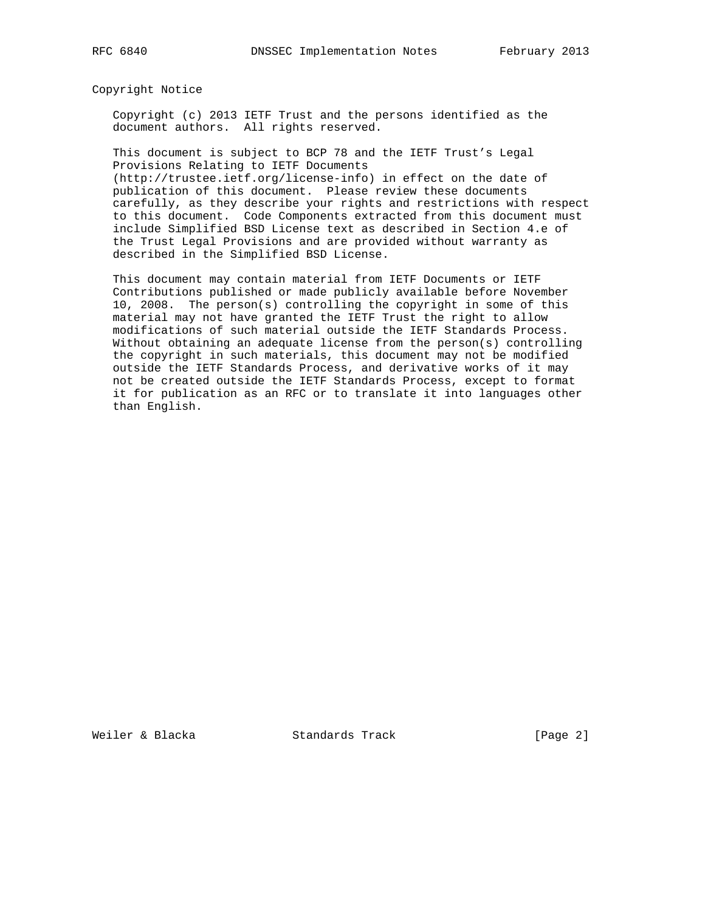Copyright Notice

 Copyright (c) 2013 IETF Trust and the persons identified as the document authors. All rights reserved.

 This document is subject to BCP 78 and the IETF Trust's Legal Provisions Relating to IETF Documents

 (http://trustee.ietf.org/license-info) in effect on the date of publication of this document. Please review these documents carefully, as they describe your rights and restrictions with respect to this document. Code Components extracted from this document must include Simplified BSD License text as described in Section 4.e of the Trust Legal Provisions and are provided without warranty as described in the Simplified BSD License.

 This document may contain material from IETF Documents or IETF Contributions published or made publicly available before November 10, 2008. The person(s) controlling the copyright in some of this material may not have granted the IETF Trust the right to allow modifications of such material outside the IETF Standards Process. Without obtaining an adequate license from the person(s) controlling the copyright in such materials, this document may not be modified outside the IETF Standards Process, and derivative works of it may not be created outside the IETF Standards Process, except to format it for publication as an RFC or to translate it into languages other than English.

Weiler & Blacka Standards Track [Page 2]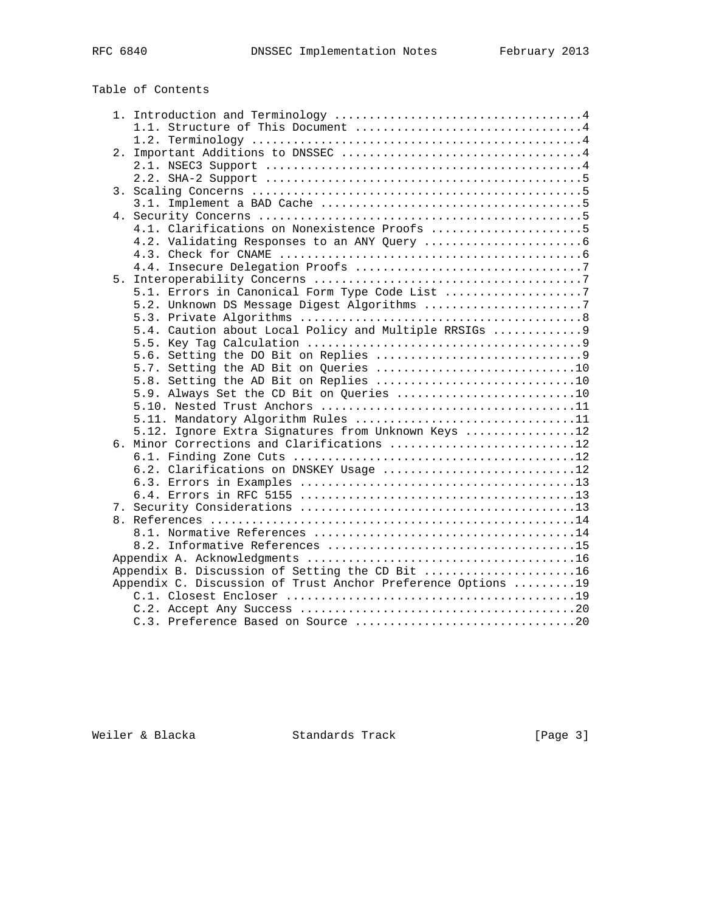# Table of Contents

|  | 4.1. Clarifications on Nonexistence Proofs 5                 |  |
|--|--------------------------------------------------------------|--|
|  |                                                              |  |
|  |                                                              |  |
|  |                                                              |  |
|  |                                                              |  |
|  | 5.1. Errors in Canonical Form Type Code List 7               |  |
|  | 5.2. Unknown DS Message Digest Algorithms 7                  |  |
|  |                                                              |  |
|  | 5.4. Caution about Local Policy and Multiple RRSIGs  9       |  |
|  |                                                              |  |
|  |                                                              |  |
|  |                                                              |  |
|  | 5.8. Setting the AD Bit on Replies 10                        |  |
|  | 5.9. Always Set the CD Bit on Queries 10                     |  |
|  |                                                              |  |
|  | 5.11. Mandatory Algorithm Rules 11                           |  |
|  | 5.12. Ignore Extra Signatures from Unknown Keys 12           |  |
|  | 6. Minor Corrections and Clarifications 12                   |  |
|  |                                                              |  |
|  | 6.2. Clarifications on DNSKEY Usage 12                       |  |
|  |                                                              |  |
|  |                                                              |  |
|  |                                                              |  |
|  |                                                              |  |
|  |                                                              |  |
|  |                                                              |  |
|  |                                                              |  |
|  | Appendix B. Discussion of Setting the CD Bit 16              |  |
|  | Appendix C. Discussion of Trust Anchor Preference Options 19 |  |
|  |                                                              |  |
|  |                                                              |  |
|  |                                                              |  |

Weiler & Blacka Standards Track [Page 3]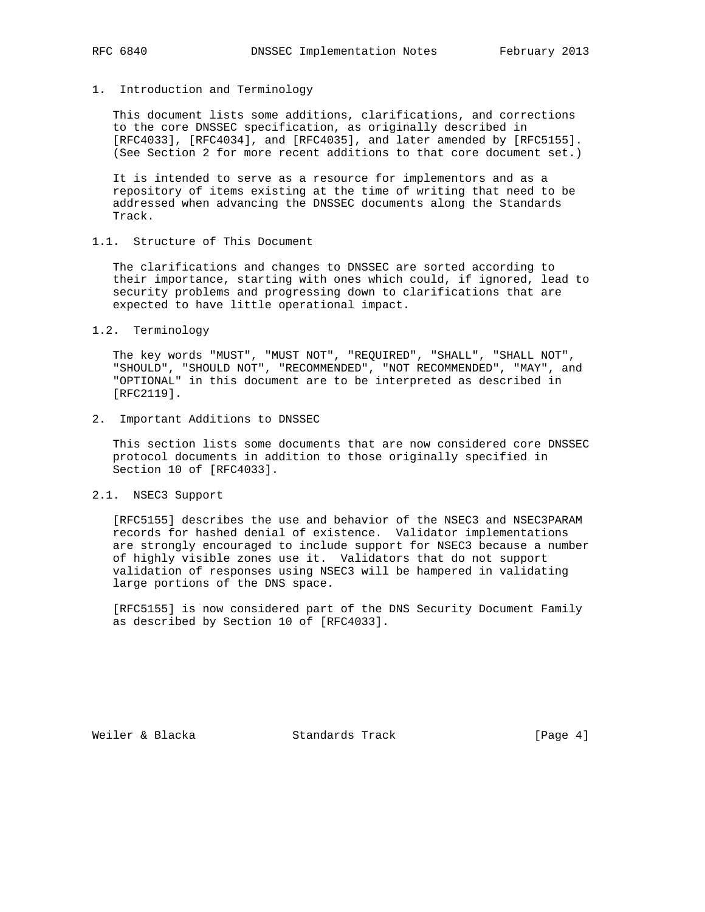# 1. Introduction and Terminology

 This document lists some additions, clarifications, and corrections to the core DNSSEC specification, as originally described in [RFC4033], [RFC4034], and [RFC4035], and later amended by [RFC5155]. (See Section 2 for more recent additions to that core document set.)

 It is intended to serve as a resource for implementors and as a repository of items existing at the time of writing that need to be addressed when advancing the DNSSEC documents along the Standards Track.

# 1.1. Structure of This Document

 The clarifications and changes to DNSSEC are sorted according to their importance, starting with ones which could, if ignored, lead to security problems and progressing down to clarifications that are expected to have little operational impact.

1.2. Terminology

 The key words "MUST", "MUST NOT", "REQUIRED", "SHALL", "SHALL NOT", "SHOULD", "SHOULD NOT", "RECOMMENDED", "NOT RECOMMENDED", "MAY", and "OPTIONAL" in this document are to be interpreted as described in [RFC2119].

2. Important Additions to DNSSEC

 This section lists some documents that are now considered core DNSSEC protocol documents in addition to those originally specified in Section 10 of [RFC4033].

2.1. NSEC3 Support

 [RFC5155] describes the use and behavior of the NSEC3 and NSEC3PARAM records for hashed denial of existence. Validator implementations are strongly encouraged to include support for NSEC3 because a number of highly visible zones use it. Validators that do not support validation of responses using NSEC3 will be hampered in validating large portions of the DNS space.

 [RFC5155] is now considered part of the DNS Security Document Family as described by Section 10 of [RFC4033].

Weiler & Blacka Standards Track [Page 4]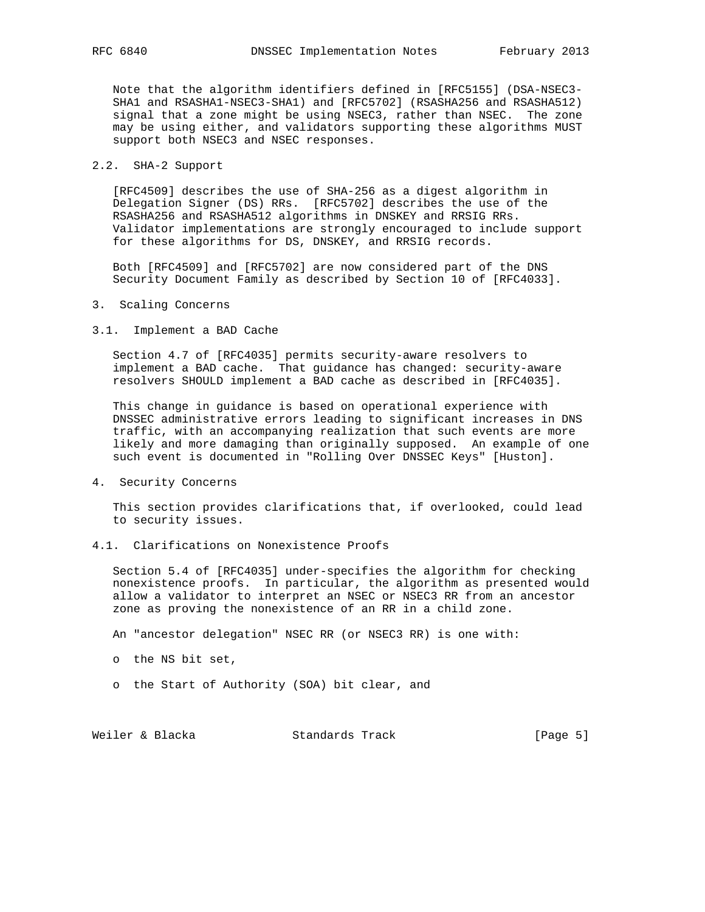Note that the algorithm identifiers defined in [RFC5155] (DSA-NSEC3- SHA1 and RSASHA1-NSEC3-SHA1) and [RFC5702] (RSASHA256 and RSASHA512) signal that a zone might be using NSEC3, rather than NSEC. The zone may be using either, and validators supporting these algorithms MUST support both NSEC3 and NSEC responses.

# 2.2. SHA-2 Support

 [RFC4509] describes the use of SHA-256 as a digest algorithm in Delegation Signer (DS) RRs. [RFC5702] describes the use of the RSASHA256 and RSASHA512 algorithms in DNSKEY and RRSIG RRs. Validator implementations are strongly encouraged to include support for these algorithms for DS, DNSKEY, and RRSIG records.

 Both [RFC4509] and [RFC5702] are now considered part of the DNS Security Document Family as described by Section 10 of [RFC4033].

- 3. Scaling Concerns
- 3.1. Implement a BAD Cache

 Section 4.7 of [RFC4035] permits security-aware resolvers to implement a BAD cache. That guidance has changed: security-aware resolvers SHOULD implement a BAD cache as described in [RFC4035].

 This change in guidance is based on operational experience with DNSSEC administrative errors leading to significant increases in DNS traffic, with an accompanying realization that such events are more likely and more damaging than originally supposed. An example of one such event is documented in "Rolling Over DNSSEC Keys" [Huston].

4. Security Concerns

 This section provides clarifications that, if overlooked, could lead to security issues.

4.1. Clarifications on Nonexistence Proofs

 Section 5.4 of [RFC4035] under-specifies the algorithm for checking nonexistence proofs. In particular, the algorithm as presented would allow a validator to interpret an NSEC or NSEC3 RR from an ancestor zone as proving the nonexistence of an RR in a child zone.

An "ancestor delegation" NSEC RR (or NSEC3 RR) is one with:

- o the NS bit set,
- o the Start of Authority (SOA) bit clear, and

Weiler & Blacka Standards Track [Page 5]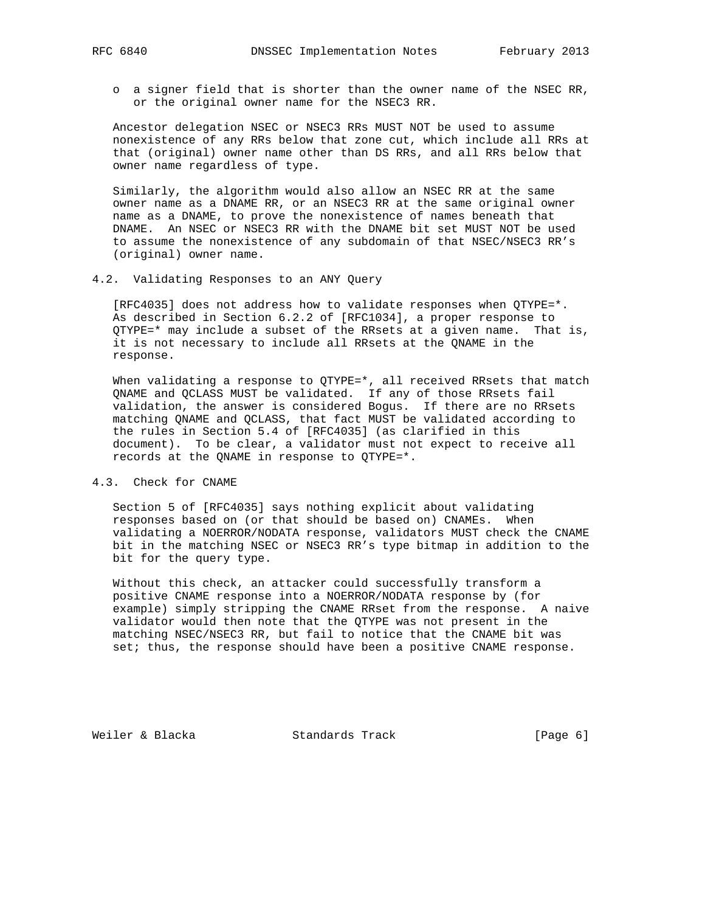- - o a signer field that is shorter than the owner name of the NSEC RR, or the original owner name for the NSEC3 RR.

 Ancestor delegation NSEC or NSEC3 RRs MUST NOT be used to assume nonexistence of any RRs below that zone cut, which include all RRs at that (original) owner name other than DS RRs, and all RRs below that owner name regardless of type.

 Similarly, the algorithm would also allow an NSEC RR at the same owner name as a DNAME RR, or an NSEC3 RR at the same original owner name as a DNAME, to prove the nonexistence of names beneath that DNAME. An NSEC or NSEC3 RR with the DNAME bit set MUST NOT be used to assume the nonexistence of any subdomain of that NSEC/NSEC3 RR's (original) owner name.

4.2. Validating Responses to an ANY Query

 [RFC4035] does not address how to validate responses when QTYPE=\*. As described in Section 6.2.2 of [RFC1034], a proper response to  $QTYPE=\star$  may include a subset of the RRsets at a given name. That is, it is not necessary to include all RRsets at the QNAME in the response.

When validating a response to QTYPE=\*, all received RRsets that match QNAME and QCLASS MUST be validated. If any of those RRsets fail validation, the answer is considered Bogus. If there are no RRsets matching QNAME and QCLASS, that fact MUST be validated according to the rules in Section 5.4 of [RFC4035] (as clarified in this document). To be clear, a validator must not expect to receive all records at the QNAME in response to QTYPE=\*.

4.3. Check for CNAME

 Section 5 of [RFC4035] says nothing explicit about validating responses based on (or that should be based on) CNAMEs. When validating a NOERROR/NODATA response, validators MUST check the CNAME bit in the matching NSEC or NSEC3 RR's type bitmap in addition to the bit for the query type.

 Without this check, an attacker could successfully transform a positive CNAME response into a NOERROR/NODATA response by (for example) simply stripping the CNAME RRset from the response. A naive validator would then note that the QTYPE was not present in the matching NSEC/NSEC3 RR, but fail to notice that the CNAME bit was set; thus, the response should have been a positive CNAME response.

Weiler & Blacka and Standards Track and Track [Page 6]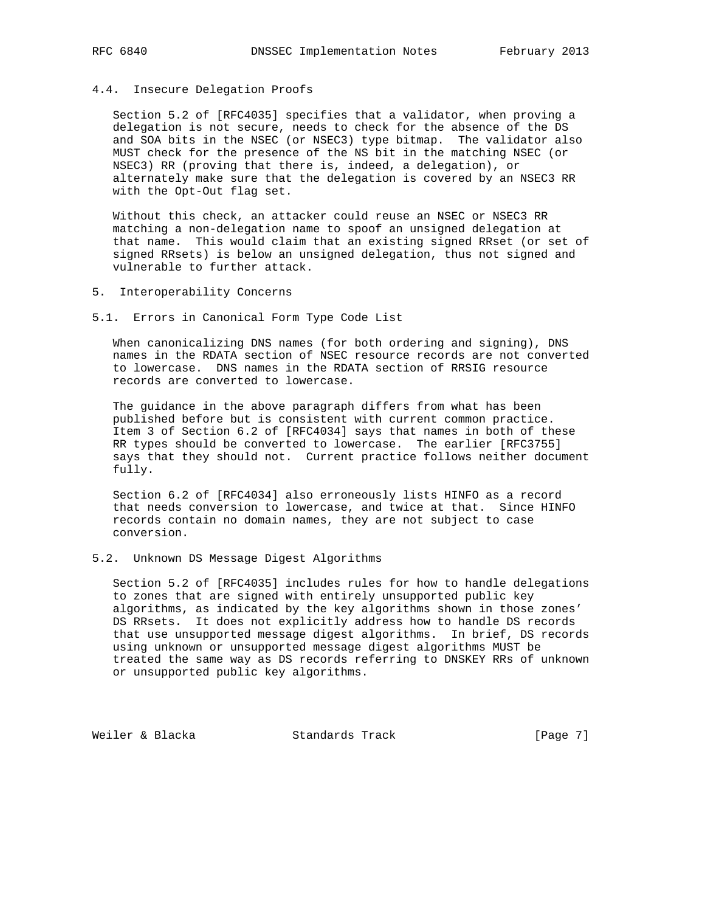# 4.4. Insecure Delegation Proofs

 Section 5.2 of [RFC4035] specifies that a validator, when proving a delegation is not secure, needs to check for the absence of the DS and SOA bits in the NSEC (or NSEC3) type bitmap. The validator also MUST check for the presence of the NS bit in the matching NSEC (or NSEC3) RR (proving that there is, indeed, a delegation), or alternately make sure that the delegation is covered by an NSEC3 RR with the Opt-Out flag set.

 Without this check, an attacker could reuse an NSEC or NSEC3 RR matching a non-delegation name to spoof an unsigned delegation at that name. This would claim that an existing signed RRset (or set of signed RRsets) is below an unsigned delegation, thus not signed and vulnerable to further attack.

- 5. Interoperability Concerns
- 5.1. Errors in Canonical Form Type Code List

 When canonicalizing DNS names (for both ordering and signing), DNS names in the RDATA section of NSEC resource records are not converted to lowercase. DNS names in the RDATA section of RRSIG resource records are converted to lowercase.

 The guidance in the above paragraph differs from what has been published before but is consistent with current common practice. Item 3 of Section 6.2 of [RFC4034] says that names in both of these RR types should be converted to lowercase. The earlier [RFC3755] says that they should not. Current practice follows neither document fully.

 Section 6.2 of [RFC4034] also erroneously lists HINFO as a record that needs conversion to lowercase, and twice at that. Since HINFO records contain no domain names, they are not subject to case conversion.

### 5.2. Unknown DS Message Digest Algorithms

 Section 5.2 of [RFC4035] includes rules for how to handle delegations to zones that are signed with entirely unsupported public key algorithms, as indicated by the key algorithms shown in those zones' DS RRsets. It does not explicitly address how to handle DS records that use unsupported message digest algorithms. In brief, DS records using unknown or unsupported message digest algorithms MUST be treated the same way as DS records referring to DNSKEY RRs of unknown or unsupported public key algorithms.

Weiler & Blacka Standards Track [Page 7]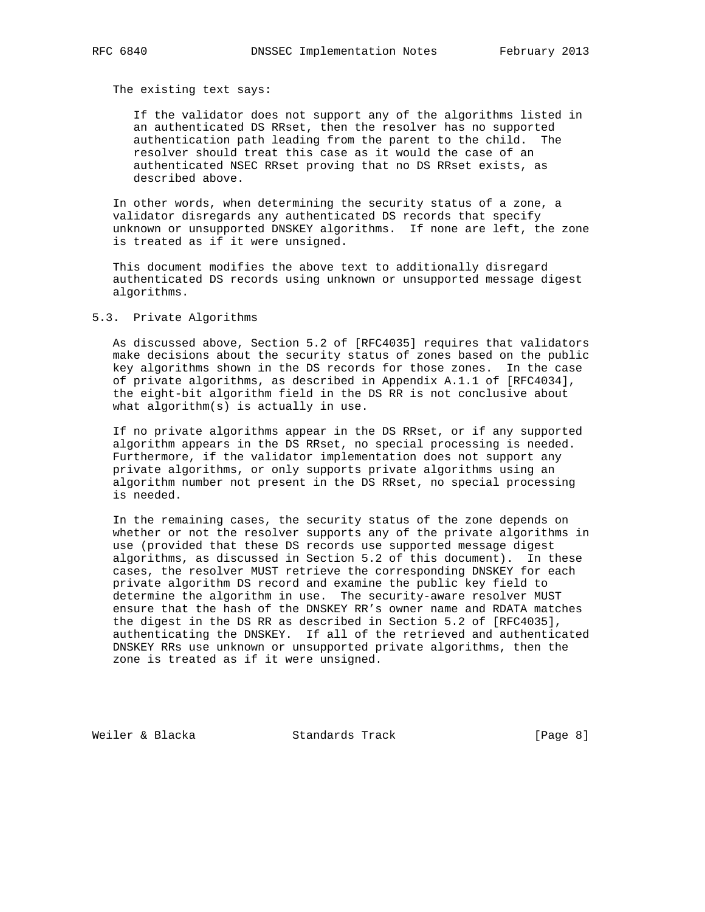The existing text says:

 If the validator does not support any of the algorithms listed in an authenticated DS RRset, then the resolver has no supported authentication path leading from the parent to the child. The resolver should treat this case as it would the case of an authenticated NSEC RRset proving that no DS RRset exists, as described above.

 In other words, when determining the security status of a zone, a validator disregards any authenticated DS records that specify unknown or unsupported DNSKEY algorithms. If none are left, the zone is treated as if it were unsigned.

 This document modifies the above text to additionally disregard authenticated DS records using unknown or unsupported message digest algorithms.

# 5.3. Private Algorithms

 As discussed above, Section 5.2 of [RFC4035] requires that validators make decisions about the security status of zones based on the public key algorithms shown in the DS records for those zones. In the case of private algorithms, as described in Appendix A.1.1 of [RFC4034], the eight-bit algorithm field in the DS RR is not conclusive about what algorithm(s) is actually in use.

 If no private algorithms appear in the DS RRset, or if any supported algorithm appears in the DS RRset, no special processing is needed. Furthermore, if the validator implementation does not support any private algorithms, or only supports private algorithms using an algorithm number not present in the DS RRset, no special processing is needed.

 In the remaining cases, the security status of the zone depends on whether or not the resolver supports any of the private algorithms in use (provided that these DS records use supported message digest algorithms, as discussed in Section 5.2 of this document). In these cases, the resolver MUST retrieve the corresponding DNSKEY for each private algorithm DS record and examine the public key field to determine the algorithm in use. The security-aware resolver MUST ensure that the hash of the DNSKEY RR's owner name and RDATA matches the digest in the DS RR as described in Section 5.2 of [RFC4035], authenticating the DNSKEY. If all of the retrieved and authenticated DNSKEY RRs use unknown or unsupported private algorithms, then the zone is treated as if it were unsigned.

Weiler & Blacka Standards Track [Page 8]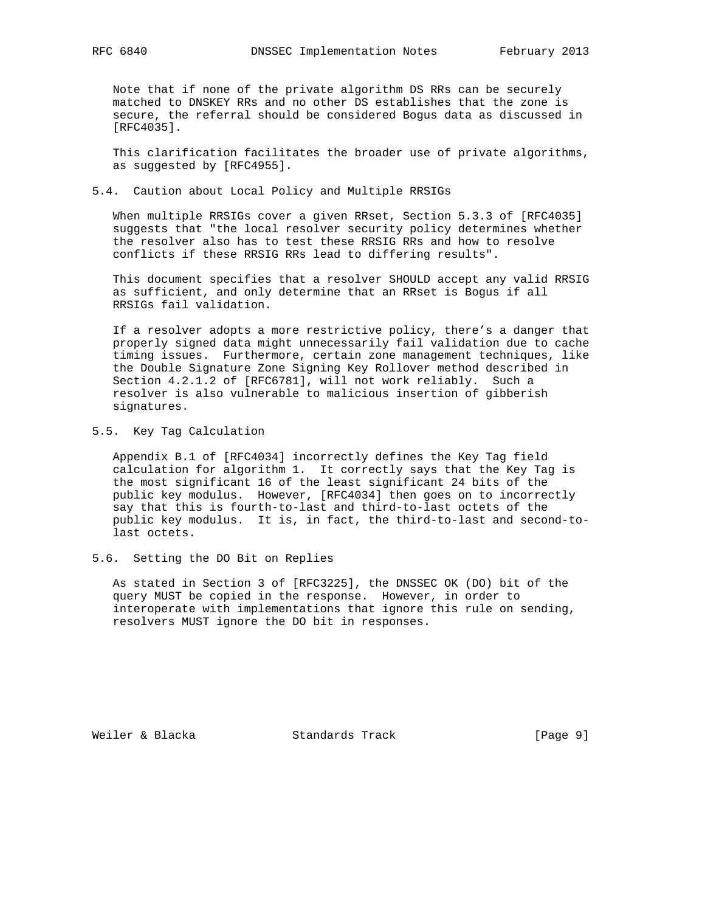Note that if none of the private algorithm DS RRs can be securely matched to DNSKEY RRs and no other DS establishes that the zone is secure, the referral should be considered Bogus data as discussed in [RFC4035].

 This clarification facilitates the broader use of private algorithms, as suggested by [RFC4955].

# 5.4. Caution about Local Policy and Multiple RRSIGs

 When multiple RRSIGs cover a given RRset, Section 5.3.3 of [RFC4035] suggests that "the local resolver security policy determines whether the resolver also has to test these RRSIG RRs and how to resolve conflicts if these RRSIG RRs lead to differing results".

 This document specifies that a resolver SHOULD accept any valid RRSIG as sufficient, and only determine that an RRset is Bogus if all RRSIGs fail validation.

 If a resolver adopts a more restrictive policy, there's a danger that properly signed data might unnecessarily fail validation due to cache timing issues. Furthermore, certain zone management techniques, like the Double Signature Zone Signing Key Rollover method described in Section 4.2.1.2 of [RFC6781], will not work reliably. Such a resolver is also vulnerable to malicious insertion of gibberish signatures.

### 5.5. Key Tag Calculation

 Appendix B.1 of [RFC4034] incorrectly defines the Key Tag field calculation for algorithm 1. It correctly says that the Key Tag is the most significant 16 of the least significant 24 bits of the public key modulus. However, [RFC4034] then goes on to incorrectly say that this is fourth-to-last and third-to-last octets of the public key modulus. It is, in fact, the third-to-last and second-to last octets.

### 5.6. Setting the DO Bit on Replies

 As stated in Section 3 of [RFC3225], the DNSSEC OK (DO) bit of the query MUST be copied in the response. However, in order to interoperate with implementations that ignore this rule on sending, resolvers MUST ignore the DO bit in responses.

Weiler & Blacka Standards Track [Page 9]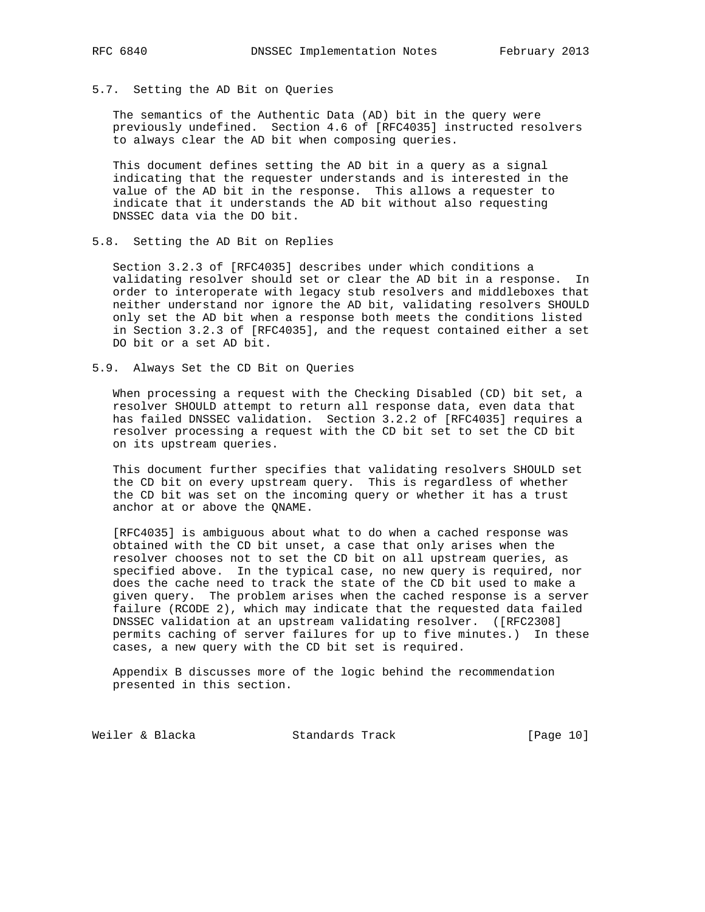# 5.7. Setting the AD Bit on Queries

 The semantics of the Authentic Data (AD) bit in the query were previously undefined. Section 4.6 of [RFC4035] instructed resolvers to always clear the AD bit when composing queries.

 This document defines setting the AD bit in a query as a signal indicating that the requester understands and is interested in the value of the AD bit in the response. This allows a requester to indicate that it understands the AD bit without also requesting DNSSEC data via the DO bit.

# 5.8. Setting the AD Bit on Replies

 Section 3.2.3 of [RFC4035] describes under which conditions a validating resolver should set or clear the AD bit in a response. In order to interoperate with legacy stub resolvers and middleboxes that neither understand nor ignore the AD bit, validating resolvers SHOULD only set the AD bit when a response both meets the conditions listed in Section 3.2.3 of [RFC4035], and the request contained either a set DO bit or a set AD bit.

5.9. Always Set the CD Bit on Queries

 When processing a request with the Checking Disabled (CD) bit set, a resolver SHOULD attempt to return all response data, even data that has failed DNSSEC validation. Section 3.2.2 of [RFC4035] requires a resolver processing a request with the CD bit set to set the CD bit on its upstream queries.

 This document further specifies that validating resolvers SHOULD set the CD bit on every upstream query. This is regardless of whether the CD bit was set on the incoming query or whether it has a trust anchor at or above the QNAME.

 [RFC4035] is ambiguous about what to do when a cached response was obtained with the CD bit unset, a case that only arises when the resolver chooses not to set the CD bit on all upstream queries, as specified above. In the typical case, no new query is required, nor does the cache need to track the state of the CD bit used to make a given query. The problem arises when the cached response is a server failure (RCODE 2), which may indicate that the requested data failed DNSSEC validation at an upstream validating resolver. ([RFC2308] permits caching of server failures for up to five minutes.) In these cases, a new query with the CD bit set is required.

 Appendix B discusses more of the logic behind the recommendation presented in this section.

Weiler & Blacka Standards Track [Page 10]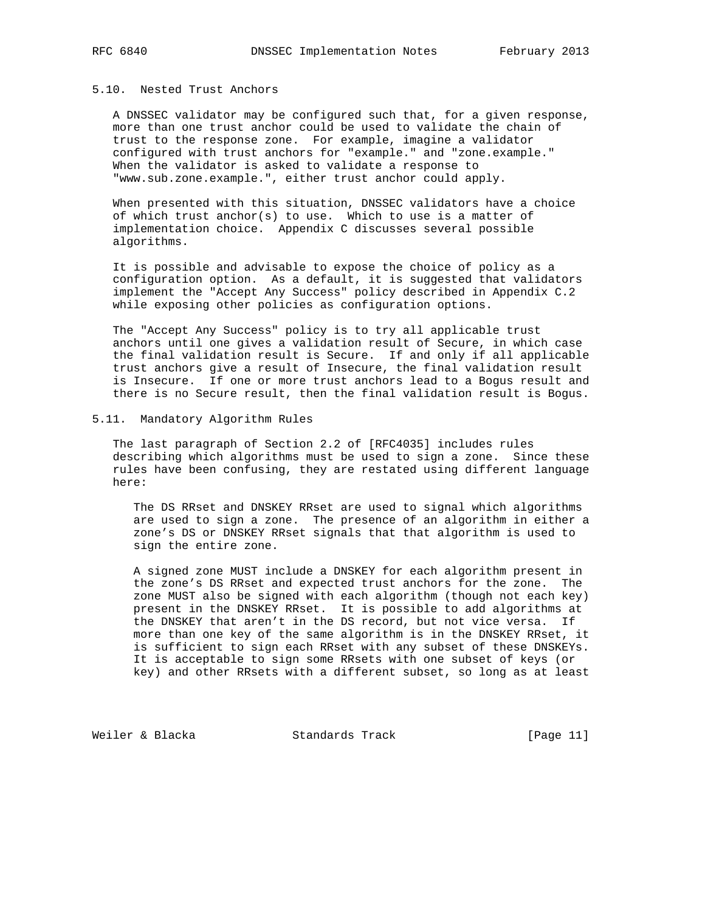# 5.10. Nested Trust Anchors

 A DNSSEC validator may be configured such that, for a given response, more than one trust anchor could be used to validate the chain of trust to the response zone. For example, imagine a validator configured with trust anchors for "example." and "zone.example." When the validator is asked to validate a response to "www.sub.zone.example.", either trust anchor could apply.

 When presented with this situation, DNSSEC validators have a choice of which trust anchor(s) to use. Which to use is a matter of implementation choice. Appendix C discusses several possible algorithms.

 It is possible and advisable to expose the choice of policy as a configuration option. As a default, it is suggested that validators implement the "Accept Any Success" policy described in Appendix C.2 while exposing other policies as configuration options.

 The "Accept Any Success" policy is to try all applicable trust anchors until one gives a validation result of Secure, in which case the final validation result is Secure. If and only if all applicable trust anchors give a result of Insecure, the final validation result is Insecure. If one or more trust anchors lead to a Bogus result and there is no Secure result, then the final validation result is Bogus.

# 5.11. Mandatory Algorithm Rules

 The last paragraph of Section 2.2 of [RFC4035] includes rules describing which algorithms must be used to sign a zone. Since these rules have been confusing, they are restated using different language here:

 The DS RRset and DNSKEY RRset are used to signal which algorithms are used to sign a zone. The presence of an algorithm in either a zone's DS or DNSKEY RRset signals that that algorithm is used to sign the entire zone.

 A signed zone MUST include a DNSKEY for each algorithm present in the zone's DS RRset and expected trust anchors for the zone. The zone MUST also be signed with each algorithm (though not each key) present in the DNSKEY RRset. It is possible to add algorithms at the DNSKEY that aren't in the DS record, but not vice versa. If more than one key of the same algorithm is in the DNSKEY RRset, it is sufficient to sign each RRset with any subset of these DNSKEYs. It is acceptable to sign some RRsets with one subset of keys (or key) and other RRsets with a different subset, so long as at least

Weiler & Blacka Standards Track [Page 11]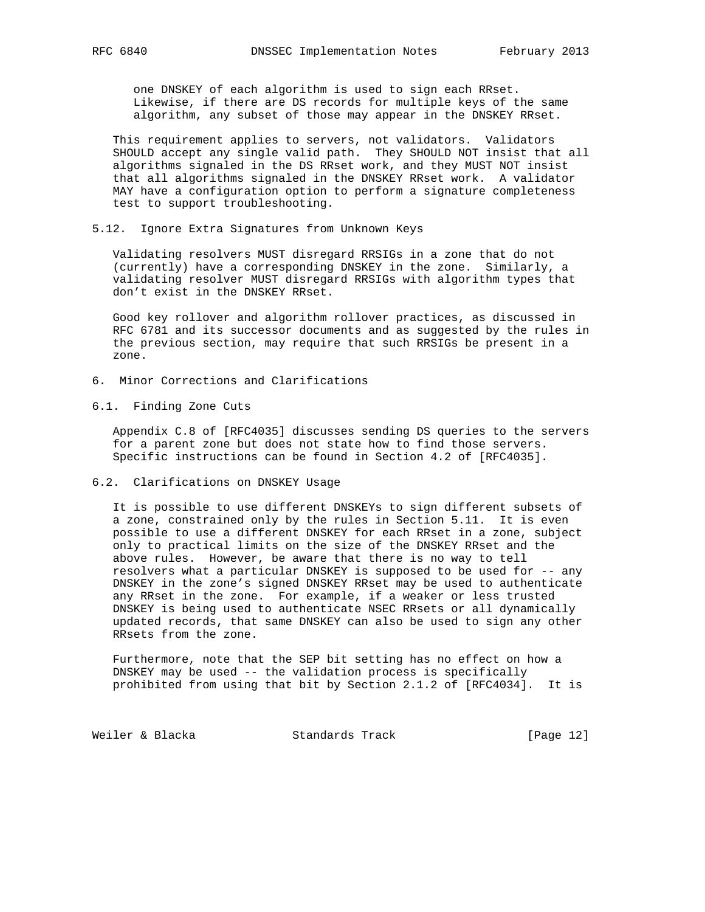one DNSKEY of each algorithm is used to sign each RRset. Likewise, if there are DS records for multiple keys of the same algorithm, any subset of those may appear in the DNSKEY RRset.

 This requirement applies to servers, not validators. Validators SHOULD accept any single valid path. They SHOULD NOT insist that all algorithms signaled in the DS RRset work, and they MUST NOT insist that all algorithms signaled in the DNSKEY RRset work. A validator MAY have a configuration option to perform a signature completeness test to support troubleshooting.

5.12. Ignore Extra Signatures from Unknown Keys

 Validating resolvers MUST disregard RRSIGs in a zone that do not (currently) have a corresponding DNSKEY in the zone. Similarly, a validating resolver MUST disregard RRSIGs with algorithm types that don't exist in the DNSKEY RRset.

 Good key rollover and algorithm rollover practices, as discussed in RFC 6781 and its successor documents and as suggested by the rules in the previous section, may require that such RRSIGs be present in a zone.

- 6. Minor Corrections and Clarifications
- 6.1. Finding Zone Cuts

 Appendix C.8 of [RFC4035] discusses sending DS queries to the servers for a parent zone but does not state how to find those servers. Specific instructions can be found in Section 4.2 of [RFC4035].

6.2. Clarifications on DNSKEY Usage

 It is possible to use different DNSKEYs to sign different subsets of a zone, constrained only by the rules in Section 5.11. It is even possible to use a different DNSKEY for each RRset in a zone, subject only to practical limits on the size of the DNSKEY RRset and the above rules. However, be aware that there is no way to tell resolvers what a particular DNSKEY is supposed to be used for -- any DNSKEY in the zone's signed DNSKEY RRset may be used to authenticate any RRset in the zone. For example, if a weaker or less trusted DNSKEY is being used to authenticate NSEC RRsets or all dynamically updated records, that same DNSKEY can also be used to sign any other RRsets from the zone.

 Furthermore, note that the SEP bit setting has no effect on how a DNSKEY may be used -- the validation process is specifically prohibited from using that bit by Section 2.1.2 of [RFC4034]. It is

Weiler & Blacka Standards Track [Page 12]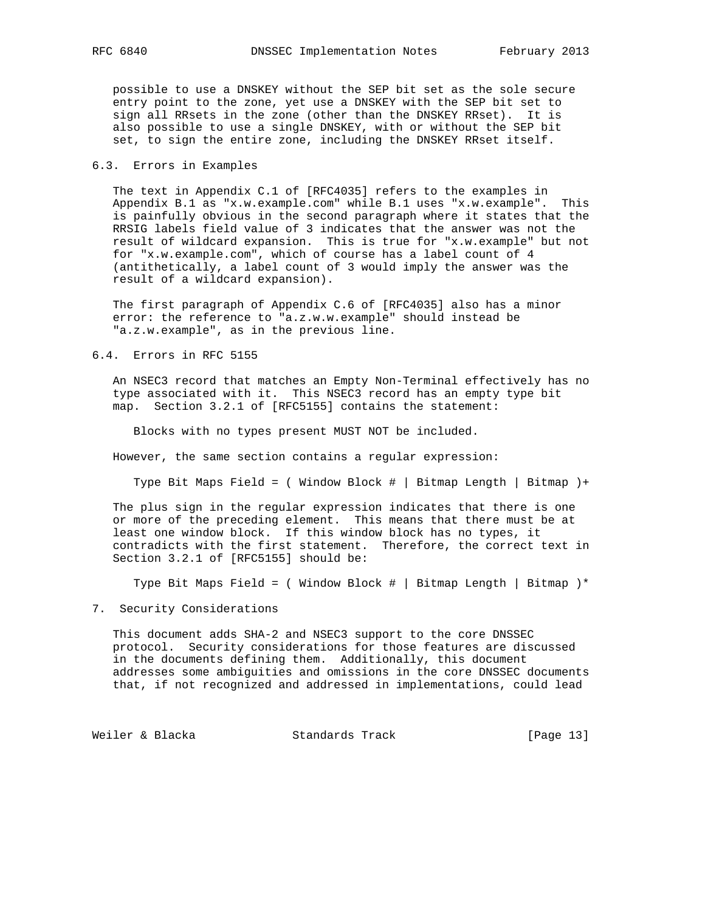possible to use a DNSKEY without the SEP bit set as the sole secure entry point to the zone, yet use a DNSKEY with the SEP bit set to sign all RRsets in the zone (other than the DNSKEY RRset). It is also possible to use a single DNSKEY, with or without the SEP bit set, to sign the entire zone, including the DNSKEY RRset itself.

# 6.3. Errors in Examples

 The text in Appendix C.1 of [RFC4035] refers to the examples in Appendix B.1 as "x.w.example.com" while B.1 uses "x.w.example". This is painfully obvious in the second paragraph where it states that the RRSIG labels field value of 3 indicates that the answer was not the result of wildcard expansion. This is true for "x.w.example" but not for "x.w.example.com", which of course has a label count of 4 (antithetically, a label count of 3 would imply the answer was the result of a wildcard expansion).

 The first paragraph of Appendix C.6 of [RFC4035] also has a minor error: the reference to "a.z.w.w.example" should instead be "a.z.w.example", as in the previous line.

# 6.4. Errors in RFC 5155

 An NSEC3 record that matches an Empty Non-Terminal effectively has no type associated with it. This NSEC3 record has an empty type bit map. Section 3.2.1 of [RFC5155] contains the statement:

Blocks with no types present MUST NOT be included.

However, the same section contains a regular expression:

Type Bit Maps Field = ( Window Block # | Bitmap Length | Bitmap )+

 The plus sign in the regular expression indicates that there is one or more of the preceding element. This means that there must be at least one window block. If this window block has no types, it contradicts with the first statement. Therefore, the correct text in Section 3.2.1 of [RFC5155] should be:

Type Bit Maps Field = ( Window Block # | Bitmap Length | Bitmap )\*

# 7. Security Considerations

 This document adds SHA-2 and NSEC3 support to the core DNSSEC protocol. Security considerations for those features are discussed in the documents defining them. Additionally, this document addresses some ambiguities and omissions in the core DNSSEC documents that, if not recognized and addressed in implementations, could lead

Weiler & Blacka Standards Track [Page 13]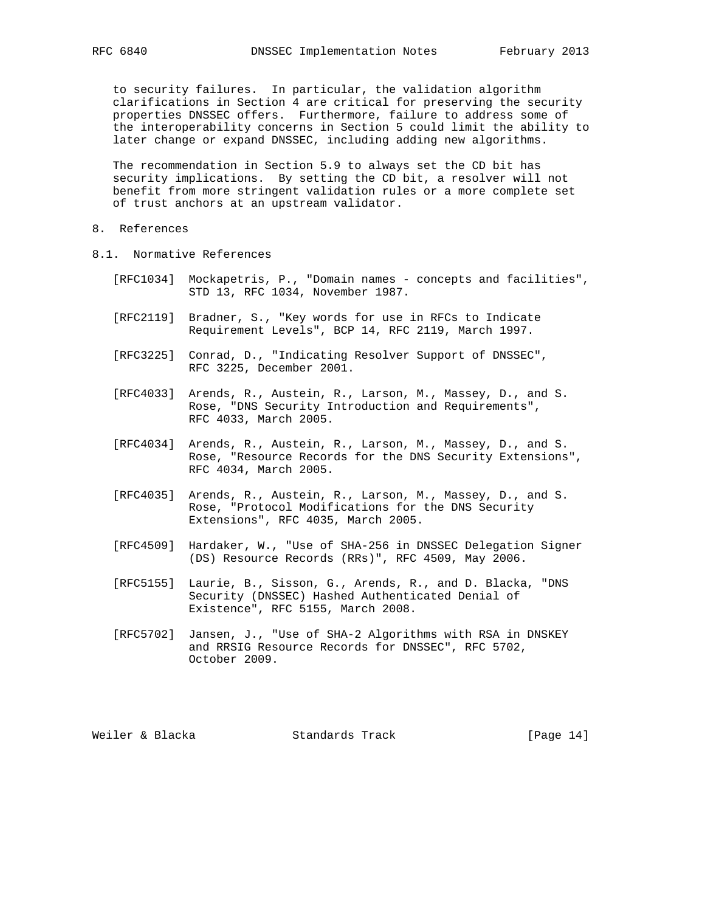to security failures. In particular, the validation algorithm clarifications in Section 4 are critical for preserving the security properties DNSSEC offers. Furthermore, failure to address some of the interoperability concerns in Section 5 could limit the ability to later change or expand DNSSEC, including adding new algorithms.

 The recommendation in Section 5.9 to always set the CD bit has security implications. By setting the CD bit, a resolver will not benefit from more stringent validation rules or a more complete set of trust anchors at an upstream validator.

- 8. References
- 8.1. Normative References
	- [RFC1034] Mockapetris, P., "Domain names concepts and facilities", STD 13, RFC 1034, November 1987.
	- [RFC2119] Bradner, S., "Key words for use in RFCs to Indicate Requirement Levels", BCP 14, RFC 2119, March 1997.
	- [RFC3225] Conrad, D., "Indicating Resolver Support of DNSSEC", RFC 3225, December 2001.
	- [RFC4033] Arends, R., Austein, R., Larson, M., Massey, D., and S. Rose, "DNS Security Introduction and Requirements", RFC 4033, March 2005.
	- [RFC4034] Arends, R., Austein, R., Larson, M., Massey, D., and S. Rose, "Resource Records for the DNS Security Extensions", RFC 4034, March 2005.
	- [RFC4035] Arends, R., Austein, R., Larson, M., Massey, D., and S. Rose, "Protocol Modifications for the DNS Security Extensions", RFC 4035, March 2005.
	- [RFC4509] Hardaker, W., "Use of SHA-256 in DNSSEC Delegation Signer (DS) Resource Records (RRs)", RFC 4509, May 2006.
	- [RFC5155] Laurie, B., Sisson, G., Arends, R., and D. Blacka, "DNS Security (DNSSEC) Hashed Authenticated Denial of Existence", RFC 5155, March 2008.
	- [RFC5702] Jansen, J., "Use of SHA-2 Algorithms with RSA in DNSKEY and RRSIG Resource Records for DNSSEC", RFC 5702, October 2009.

Weiler & Blacka Standards Track [Page 14]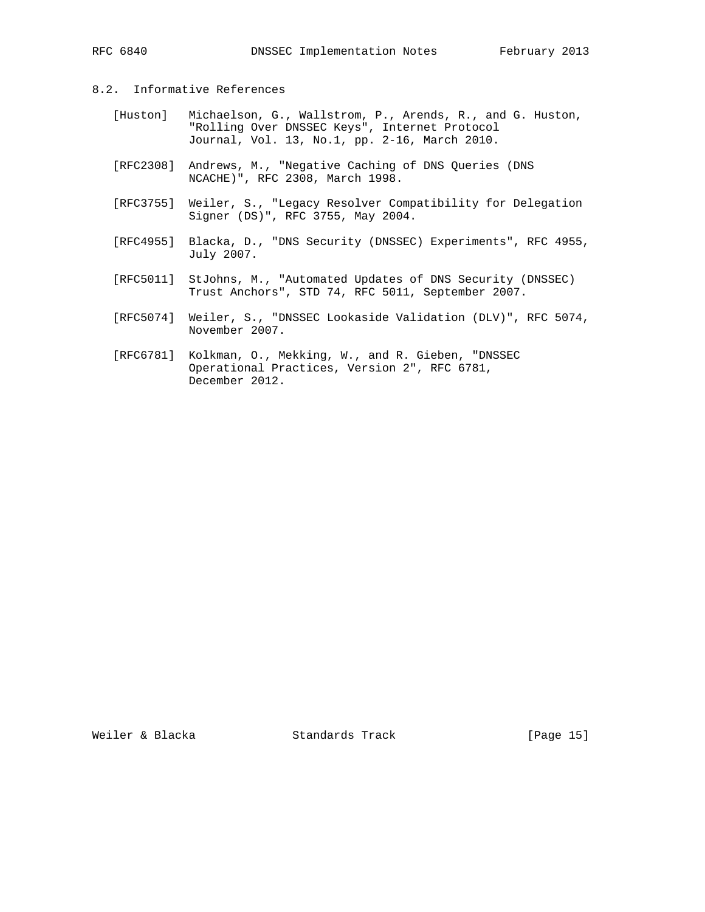# 8.2. Informative References

- [Huston] Michaelson, G., Wallstrom, P., Arends, R., and G. Huston, "Rolling Over DNSSEC Keys", Internet Protocol Journal, Vol. 13, No.1, pp. 2-16, March 2010.
- [RFC2308] Andrews, M., "Negative Caching of DNS Queries (DNS NCACHE)", RFC 2308, March 1998.
- [RFC3755] Weiler, S., "Legacy Resolver Compatibility for Delegation Signer (DS)", RFC 3755, May 2004.
- [RFC4955] Blacka, D., "DNS Security (DNSSEC) Experiments", RFC 4955, July 2007.
- [RFC5011] StJohns, M., "Automated Updates of DNS Security (DNSSEC) Trust Anchors", STD 74, RFC 5011, September 2007.
- [RFC5074] Weiler, S., "DNSSEC Lookaside Validation (DLV)", RFC 5074, November 2007.
- [RFC6781] Kolkman, O., Mekking, W., and R. Gieben, "DNSSEC Operational Practices, Version 2", RFC 6781, December 2012.

Weiler & Blacka Standards Track [Page 15]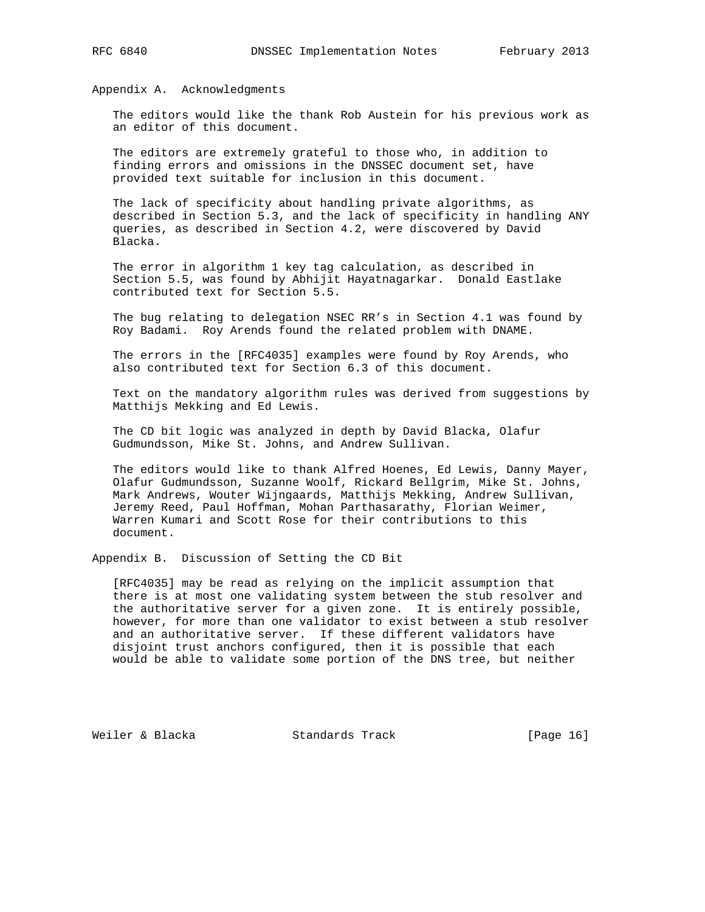Appendix A. Acknowledgments

 The editors would like the thank Rob Austein for his previous work as an editor of this document.

 The editors are extremely grateful to those who, in addition to finding errors and omissions in the DNSSEC document set, have provided text suitable for inclusion in this document.

 The lack of specificity about handling private algorithms, as described in Section 5.3, and the lack of specificity in handling ANY queries, as described in Section 4.2, were discovered by David Blacka.

 The error in algorithm 1 key tag calculation, as described in Section 5.5, was found by Abhijit Hayatnagarkar. Donald Eastlake contributed text for Section 5.5.

 The bug relating to delegation NSEC RR's in Section 4.1 was found by Roy Badami. Roy Arends found the related problem with DNAME.

 The errors in the [RFC4035] examples were found by Roy Arends, who also contributed text for Section 6.3 of this document.

 Text on the mandatory algorithm rules was derived from suggestions by Matthijs Mekking and Ed Lewis.

 The CD bit logic was analyzed in depth by David Blacka, Olafur Gudmundsson, Mike St. Johns, and Andrew Sullivan.

 The editors would like to thank Alfred Hoenes, Ed Lewis, Danny Mayer, Olafur Gudmundsson, Suzanne Woolf, Rickard Bellgrim, Mike St. Johns, Mark Andrews, Wouter Wijngaards, Matthijs Mekking, Andrew Sullivan, Jeremy Reed, Paul Hoffman, Mohan Parthasarathy, Florian Weimer, Warren Kumari and Scott Rose for their contributions to this document.

Appendix B. Discussion of Setting the CD Bit

 [RFC4035] may be read as relying on the implicit assumption that there is at most one validating system between the stub resolver and the authoritative server for a given zone. It is entirely possible, however, for more than one validator to exist between a stub resolver and an authoritative server. If these different validators have disjoint trust anchors configured, then it is possible that each would be able to validate some portion of the DNS tree, but neither

Weiler & Blacka Standards Track [Page 16]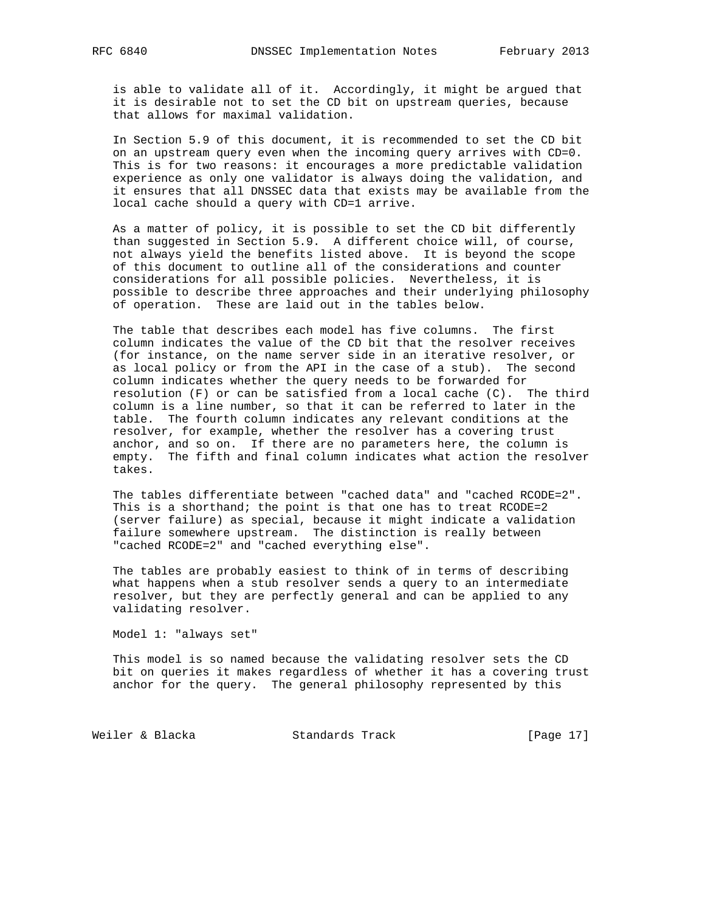is able to validate all of it. Accordingly, it might be argued that it is desirable not to set the CD bit on upstream queries, because that allows for maximal validation.

 In Section 5.9 of this document, it is recommended to set the CD bit on an upstream query even when the incoming query arrives with CD=0. This is for two reasons: it encourages a more predictable validation experience as only one validator is always doing the validation, and it ensures that all DNSSEC data that exists may be available from the local cache should a query with CD=1 arrive.

 As a matter of policy, it is possible to set the CD bit differently than suggested in Section 5.9. A different choice will, of course, not always yield the benefits listed above. It is beyond the scope of this document to outline all of the considerations and counter considerations for all possible policies. Nevertheless, it is possible to describe three approaches and their underlying philosophy of operation. These are laid out in the tables below.

 The table that describes each model has five columns. The first column indicates the value of the CD bit that the resolver receives (for instance, on the name server side in an iterative resolver, or as local policy or from the API in the case of a stub). The second column indicates whether the query needs to be forwarded for resolution (F) or can be satisfied from a local cache (C). The third column is a line number, so that it can be referred to later in the table. The fourth column indicates any relevant conditions at the resolver, for example, whether the resolver has a covering trust anchor, and so on. If there are no parameters here, the column is empty. The fifth and final column indicates what action the resolver takes.

 The tables differentiate between "cached data" and "cached RCODE=2". This is a shorthand; the point is that one has to treat RCODE=2 (server failure) as special, because it might indicate a validation failure somewhere upstream. The distinction is really between "cached RCODE=2" and "cached everything else".

 The tables are probably easiest to think of in terms of describing what happens when a stub resolver sends a query to an intermediate resolver, but they are perfectly general and can be applied to any validating resolver.

Model 1: "always set"

 This model is so named because the validating resolver sets the CD bit on queries it makes regardless of whether it has a covering trust anchor for the query. The general philosophy represented by this

Weiler & Blacka Standards Track [Page 17]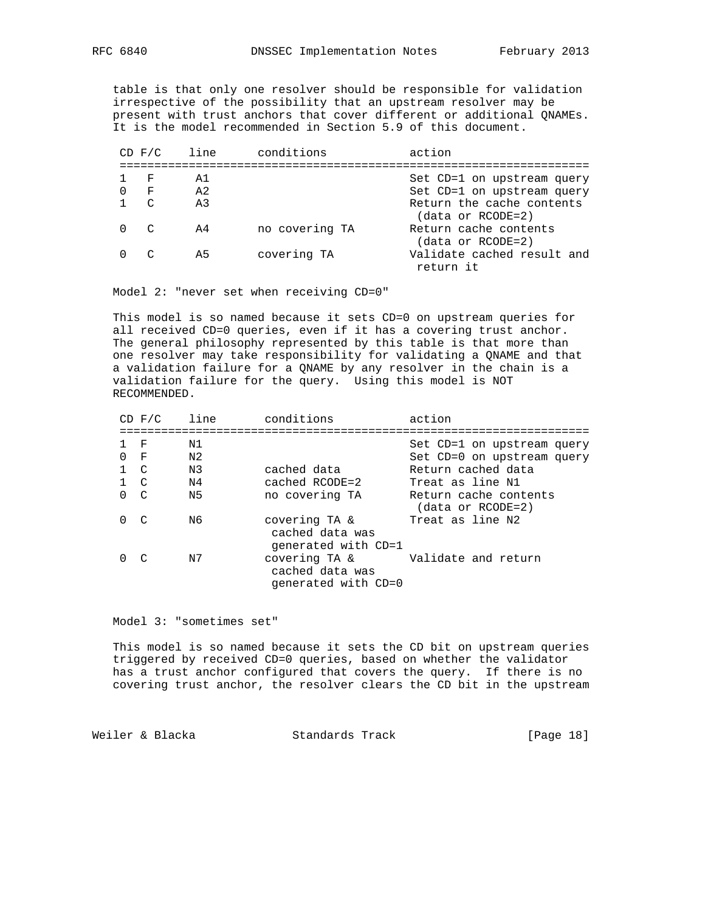table is that only one resolver should be responsible for validation irrespective of the possibility that an upstream resolver may be present with trust anchors that cover different or additional QNAMEs. It is the model recommended in Section 5.9 of this document.

|              | $CD$ $F/C$    | line           | conditions     | action                                         |
|--------------|---------------|----------------|----------------|------------------------------------------------|
|              | – F           | A1             |                |                                                |
|              |               | A <sub>2</sub> |                | Set CD=1 on upstream query                     |
| 0            | – F           |                |                | Set CD=1 on upstream query                     |
|              | $\mathcal{C}$ | A <sub>3</sub> |                | Return the cache contents<br>(data or RCODE=2) |
| 0            | $\sim$        | A4             | no covering TA | Return cache contents<br>(data or RCODE=2)     |
| <sup>n</sup> | $\mathcal{C}$ | A5             | covering TA    | Validate cached result and<br>return it        |

Model 2: "never set when receiving CD=0"

 This model is so named because it sets CD=0 on upstream queries for all received CD=0 queries, even if it has a covering trust anchor. The general philosophy represented by this table is that more than one resolver may take responsibility for validating a QNAME and that a validation failure for a QNAME by any resolver in the chain is a validation failure for the query. Using this model is NOT RECOMMENDED.

|             | $CD$ $F/C$   | line | conditions                                              | action                                     |
|-------------|--------------|------|---------------------------------------------------------|--------------------------------------------|
|             | $_{\rm F}$   | Ν1   |                                                         | Set CD=1 on upstream query                 |
| 0           | $\mathbf{F}$ | N2   |                                                         | Set CD=0 on upstream query                 |
| $1 \quad C$ |              | N3   | cached data                                             | Return cached data                         |
| $1 \quad C$ |              | N4   | $cacheed$ $RCODE = 2$                                   | Treat as line N1                           |
| $\Omega$    | C            | N5   | no covering TA                                          | Return cache contents<br>(data or RCODE=2) |
| 0           | $\subset$    | N6   | covering TA &<br>cached data was<br>qenerated with CD=1 | Treat as line N2                           |
| 0           | $\subset$    | N7   | covering TA &<br>cached data was<br>qenerated with CD=0 | Validate and return                        |

Model 3: "sometimes set"

 This model is so named because it sets the CD bit on upstream queries triggered by received CD=0 queries, based on whether the validator has a trust anchor configured that covers the query. If there is no covering trust anchor, the resolver clears the CD bit in the upstream

Weiler & Blacka Standards Track [Page 18]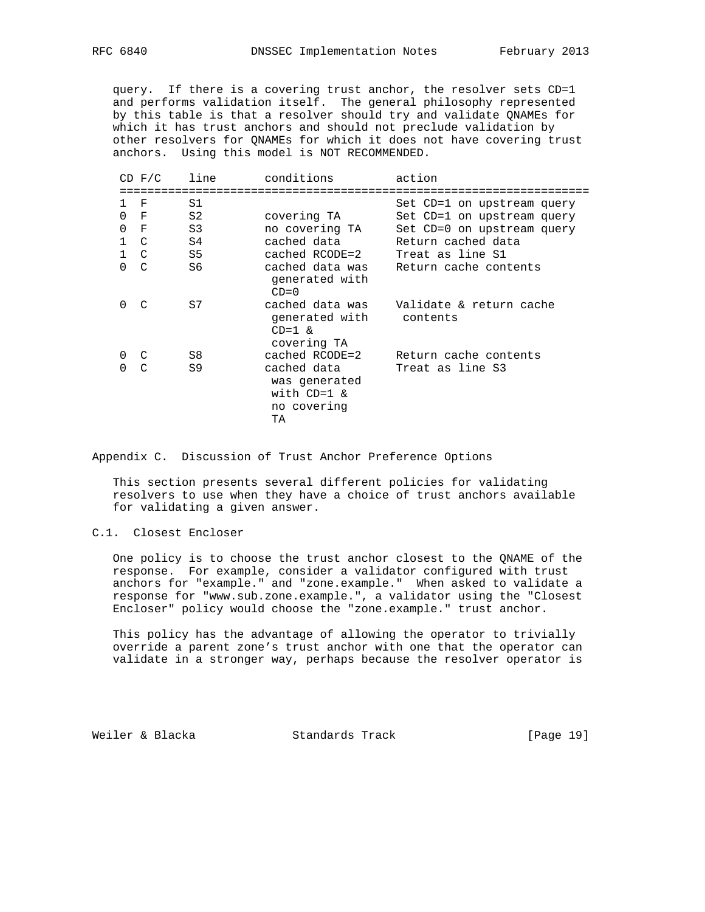query. If there is a covering trust anchor, the resolver sets CD=1 and performs validation itself. The general philosophy represented by this table is that a resolver should try and validate QNAMEs for which it has trust anchors and should not preclude validation by other resolvers for QNAMEs for which it does not have covering trust anchors. Using this model is NOT RECOMMENDED.

|               | $CD$ $F/C$     | line           | conditions                                                         | action                                                   |
|---------------|----------------|----------------|--------------------------------------------------------------------|----------------------------------------------------------|
| 1<br>$\Omega$ | F<br>F         | S1<br>S2       | covering TA                                                        | Set CD=1 on upstream query<br>Set CD=1 on upstream query |
| 0             | $_{\rm F}$     | S <sub>3</sub> | no covering TA                                                     | Set CD=0 on upstream query                               |
| $\mathbf{1}$  | $\overline{C}$ | S4             | cached data                                                        | Return cached data                                       |
|               | $1 \quad C$    | S5             | cached RCODE=2                                                     | Treat as line S1                                         |
| 0             | $\mathcal{C}$  | S6             | cached data was<br>generated with<br>$CD=0$                        | Return cache contents                                    |
| $\Omega$      | $\mathcal{C}$  | S7             | cached data was<br>generated with<br>$CD=1$ &<br>covering TA       | Validate & return cache<br>contents                      |
| 0             | C              | S8             | cached RCODE=2                                                     | Return cache contents                                    |
| $\Omega$      | $\mathcal{C}$  | S9             | cached data<br>was generated<br>with $CD=1$ &<br>no covering<br>TΑ | Treat as line S3                                         |

Appendix C. Discussion of Trust Anchor Preference Options

 This section presents several different policies for validating resolvers to use when they have a choice of trust anchors available for validating a given answer.

# C.1. Closest Encloser

 One policy is to choose the trust anchor closest to the QNAME of the response. For example, consider a validator configured with trust anchors for "example." and "zone.example." When asked to validate a response for "www.sub.zone.example.", a validator using the "Closest Encloser" policy would choose the "zone.example." trust anchor.

 This policy has the advantage of allowing the operator to trivially override a parent zone's trust anchor with one that the operator can validate in a stronger way, perhaps because the resolver operator is

Weiler & Blacka Standards Track [Page 19]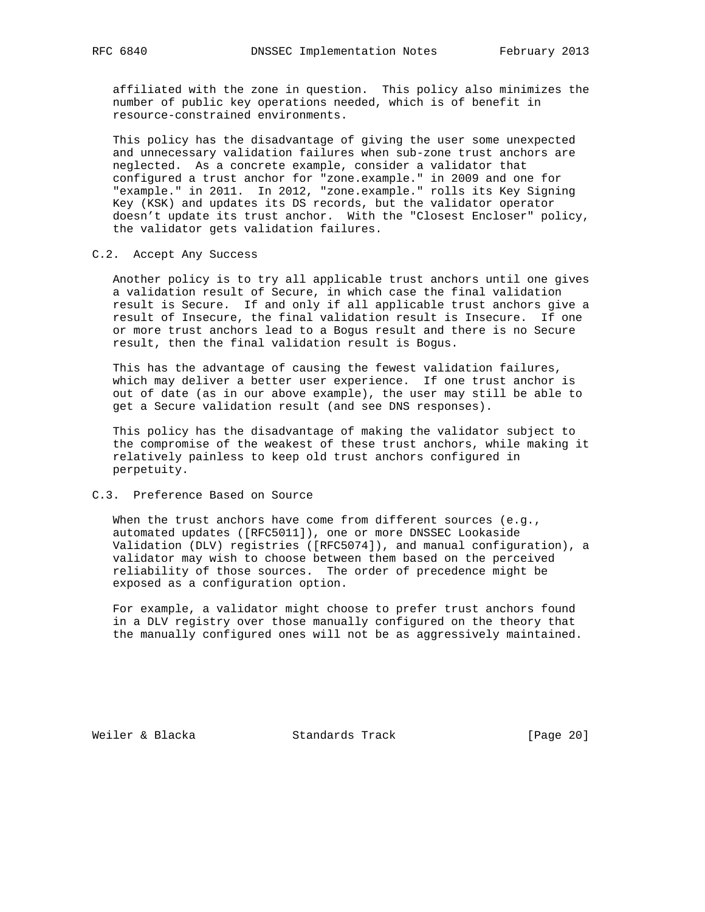affiliated with the zone in question. This policy also minimizes the number of public key operations needed, which is of benefit in resource-constrained environments.

 This policy has the disadvantage of giving the user some unexpected and unnecessary validation failures when sub-zone trust anchors are neglected. As a concrete example, consider a validator that configured a trust anchor for "zone.example." in 2009 and one for "example." in 2011. In 2012, "zone.example." rolls its Key Signing Key (KSK) and updates its DS records, but the validator operator doesn't update its trust anchor. With the "Closest Encloser" policy, the validator gets validation failures.

#### C.2. Accept Any Success

 Another policy is to try all applicable trust anchors until one gives a validation result of Secure, in which case the final validation result is Secure. If and only if all applicable trust anchors give a result of Insecure, the final validation result is Insecure. If one or more trust anchors lead to a Bogus result and there is no Secure result, then the final validation result is Bogus.

 This has the advantage of causing the fewest validation failures, which may deliver a better user experience. If one trust anchor is out of date (as in our above example), the user may still be able to get a Secure validation result (and see DNS responses).

 This policy has the disadvantage of making the validator subject to the compromise of the weakest of these trust anchors, while making it relatively painless to keep old trust anchors configured in perpetuity.

#### C.3. Preference Based on Source

When the trust anchors have come from different sources (e.g., automated updates ([RFC5011]), one or more DNSSEC Lookaside Validation (DLV) registries ([RFC5074]), and manual configuration), a validator may wish to choose between them based on the perceived reliability of those sources. The order of precedence might be exposed as a configuration option.

 For example, a validator might choose to prefer trust anchors found in a DLV registry over those manually configured on the theory that the manually configured ones will not be as aggressively maintained.

Weiler & Blacka Standards Track [Page 20]